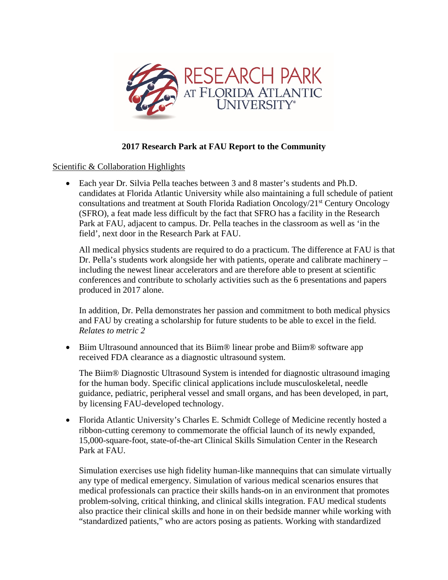

## **2017 Research Park at FAU Report to the Community**

Scientific & Collaboration Highlights

• Each year Dr. Silvia Pella teaches between 3 and 8 master's students and Ph.D. candidates at Florida Atlantic University while also maintaining a full schedule of patient consultations and treatment at South Florida Radiation Oncology/ $21<sup>st</sup>$  Century Oncology (SFRO), a feat made less difficult by the fact that SFRO has a facility in the Research Park at FAU, adjacent to campus. Dr. Pella teaches in the classroom as well as 'in the field', next door in the Research Park at FAU.

All medical physics students are required to do a practicum. The difference at FAU is that Dr. Pella's students work alongside her with patients, operate and calibrate machinery – including the newest linear accelerators and are therefore able to present at scientific conferences and contribute to scholarly activities such as the 6 presentations and papers produced in 2017 alone.

In addition, Dr. Pella demonstrates her passion and commitment to both medical physics and FAU by creating a scholarship for future students to be able to excel in the field. *Relates to metric 2*

• Biim Ultrasound announced that its Biim® linear probe and Biim® software app received FDA clearance as a diagnostic ultrasound system.

The Biim® Diagnostic Ultrasound System is intended for diagnostic ultrasound imaging for the human body. Specific clinical applications include musculoskeletal, needle guidance, pediatric, peripheral vessel and small organs, and has been developed, in part, by licensing FAU-developed technology.

• [Florida Atlantic University'](http://www.fau.edu/)s [Charles E. Schmidt College of Medicine](http://med.fau.edu/) recently hosted a ribbon-cutting ceremony to commemorate the official launch of its newly expanded, 15,000-square-foot, state-of-the-art [Clinical Skills Simulation Center](http://med.fau.edu/sim/index.php) in the [Research](https://www.research-park.org/)  [Park at FAU.](https://www.research-park.org/)

Simulation exercises use high fidelity human-like mannequins that can simulate virtually any type of medical emergency. Simulation of various medical scenarios ensures that medical professionals can practice their skills hands-on in an environment that promotes problem-solving, critical thinking, and clinical skills integration. FAU medical students also practice their clinical skills and hone in on their bedside manner while working with "standardized patients," who are actors posing as patients. Working with standardized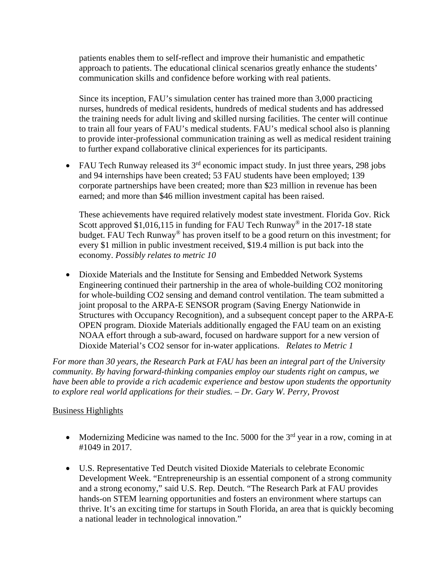patients enables them to self-reflect and improve their humanistic and empathetic approach to patients. The educational clinical scenarios greatly enhance the students' communication skills and confidence before working with real patients.

Since its inception, FAU's simulation center has trained more than 3,000 practicing nurses, hundreds of medical residents, hundreds of medical students and has addressed the training needs for adult living and skilled nursing facilities. The center will continue to train all four years of FAU's medical students. FAU's medical school also is planning to provide inter-professional communication training as well as medical resident training to further expand collaborative clinical experiences for its participants.

• FAU Tech Runway released its  $3<sup>rd</sup>$  economic impact study. In just three years, 298 jobs and 94 internships have been created; 53 FAU students have been employed; 139 corporate partnerships have been created; more than \$23 million in revenue has been earned; and more than \$46 million investment capital has been raised.

These achievements have required relatively modest state investment. Florida Gov. Rick Scott approved \$1,016,115 in funding for FAU Tech Runway<sup>®</sup> in the 2017-18 state budget. FAU Tech Runway® has proven itself to be a good return on this investment; for every \$1 million in public investment received, \$19.4 million is put back into the economy. *Possibly relates to metric 10*

• Dioxide Materials and the Institute for Sensing and Embedded Network Systems Engineering continued their partnership in the area of whole-building CO2 monitoring for whole-building CO2 sensing and demand control ventilation. The team submitted a joint proposal to the ARPA-E SENSOR program (Saving Energy Nationwide in Structures with Occupancy Recognition), and a subsequent concept paper to the ARPA-E OPEN program. Dioxide Materials additionally engaged the FAU team on an existing NOAA effort through a sub-award, focused on hardware support for a new version of Dioxide Material's CO2 sensor for in-water applications. *Relates to Metric 1*

*For more than 30 years, the Research Park at FAU has been an integral part of the University community. By having forward-thinking companies employ our students right on campus, we have been able to provide a rich academic experience and bestow upon students the opportunity to explore real world applications for their studies. – Dr. Gary W. Perry, Provost*

## Business Highlights

- Modernizing Medicine was named to the Inc. 5000 for the  $3<sup>rd</sup>$  year in a row, coming in at #1049 in 2017.
- U.S. Representative Ted Deutch visited Dioxide Materials to celebrate Economic Development Week. "Entrepreneurship is an essential component of a strong community and a strong economy," said U.S. Rep. Deutch. "The Research Park at FAU provides hands-on STEM learning opportunities and fosters an environment where startups can thrive. It's an exciting time for startups in South Florida, an area that is quickly becoming a national leader in technological innovation."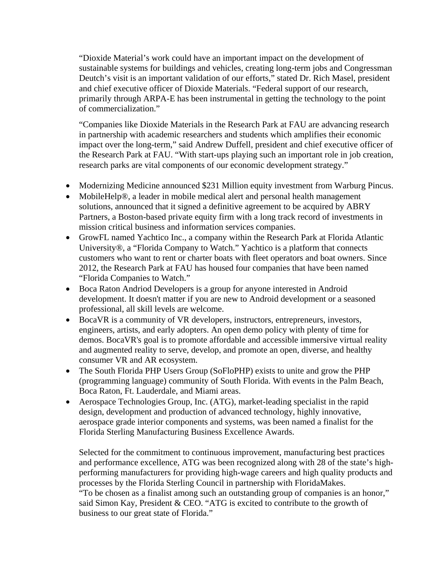"Dioxide Material's work could have an important impact on the development of sustainable systems for buildings and vehicles, creating long-term jobs and Congressman Deutch's visit is an important validation of our efforts," stated Dr. Rich Masel, president and chief executive officer of Dioxide Materials. "Federal support of our research, primarily through ARPA-E has been instrumental in getting the technology to the point of commercialization."

"Companies like Dioxide Materials in the Research Park at FAU are advancing research in partnership with academic researchers and students which amplifies their economic impact over the long-term," said Andrew Duffell, president and chief executive officer of the Research Park at FAU. "With start-ups playing such an important role in job creation, research parks are vital components of our economic development strategy."

- Modernizing Medicine announced \$231 Million equity investment from Warburg Pincus.
- MobileHelp®, a leader in mobile medical alert and personal health management solutions, announced that it signed a definitive agreement to be acquired by ABRY Partners, a Boston-based private equity firm with a long track record of investments in mission critical business and information services companies.
- GrowFL named Yachtico Inc., a company within the Research Park at Florida Atlantic University®, a "Florida Company to Watch." Yachtico is a platform that connects customers who want to rent or charter boats with fleet operators and boat owners. Since 2012, the Research Park at FAU has housed four companies that have been named "Florida Companies to Watch."
- Boca Raton Andriod Developers is a group for anyone interested in Android development. It doesn't matter if you are new to Android development or a seasoned professional, all skill levels are welcome.
- BocaVR is a community of VR developers, instructors, entrepreneurs, investors, engineers, artists, and early adopters. An open demo policy with plenty of time for demos. BocaVR's goal is to promote affordable and accessible immersive virtual reality and augmented reality to serve, develop, and promote an open, diverse, and healthy consumer VR and AR ecosystem.
- The South Florida PHP Users Group (SoFloPHP) exists to unite and grow the PHP (programming language) community of South Florida. With events in the Palm Beach, Boca Raton, Ft. Lauderdale, and Miami areas.
- Aerospace Technologies Group, Inc. (ATG), market-leading specialist in the rapid design, development and production of advanced technology, highly innovative, aerospace grade interior components and systems, was been named a finalist for the Florida Sterling Manufacturing Business Excellence Awards.

Selected for the commitment to continuous improvement, manufacturing best practices and performance excellence, ATG was been recognized along with 28 of the state's highperforming manufacturers for providing high-wage careers and high quality products and processes by the Florida Sterling Council in partnership with FloridaMakes. "To be chosen as a finalist among such an outstanding group of companies is an honor," said Simon Kay, President & CEO. "ATG is excited to contribute to the growth of business to our great state of Florida."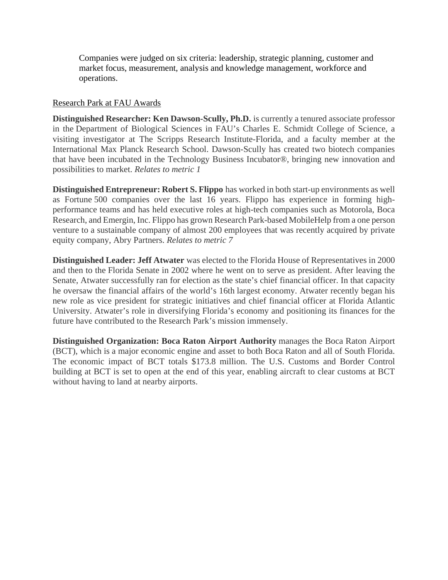Companies were judged on six criteria: leadership, strategic planning, customer and market focus, measurement, analysis and knowledge management, workforce and operations.

## Research Park at FAU Awards

**Distinguished Researcher: Ken Dawson-Scully, Ph.D.** is currently a tenured associate professor in the Department of Biological Sciences in FAU's Charles E. Schmidt College of Science, a visiting investigator at The Scripps Research Institute-Florida, and a faculty member at the International Max Planck Research School. Dawson-Scully has created two biotech companies that have been incubated in the Technology Business Incubator®, bringing new innovation and possibilities to market. *Relates to metric 1* 

**Distinguished Entrepreneur: Robert S. Flippo** has worked in both start-up environments as well as Fortune 500 companies over the last 16 years. Flippo has experience in forming highperformance teams and has held executive roles at high-tech companies such as Motorola, Boca Research, and Emergin, Inc. Flippo has grown Research Park-based MobileHelp from a one person venture to a sustainable company of almost 200 employees that was recently acquired by private equity company, Abry Partners. *Relates to metric 7*

**Distinguished Leader: Jeff Atwater** was elected to the Florida House of Representatives in 2000 and then to the Florida Senate in 2002 where he went on to serve as president. After leaving the Senate, Atwater successfully ran for election as the state's chief financial officer. In that capacity he oversaw the financial affairs of the world's 16th largest economy. Atwater recently began his new role as vice president for strategic initiatives and chief financial officer at Florida Atlantic University. Atwater's role in diversifying Florida's economy and positioning its finances for the future have contributed to the Research Park's mission immensely.

**Distinguished Organization: Boca Raton Airport Authority** manages the Boca Raton Airport (BCT), which is a major economic engine and asset to both Boca Raton and all of South Florida. The economic impact of BCT totals \$173.8 million. The U.S. Customs and Border Control building at BCT is set to open at the end of this year, enabling aircraft to clear customs at BCT without having to land at nearby airports.